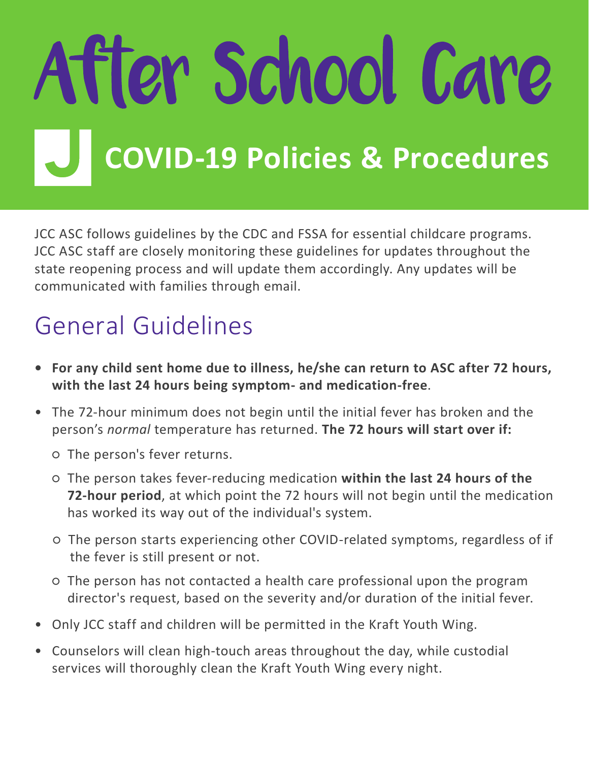# After School Care **COVID-19 Policies & Procedures**

JCC ASC follows guidelines by the CDC and FSSA for essential childcare programs. JCC ASC staff are closely monitoring these guidelines for updates throughout the state reopening process and will update them accordingly. Any updates will be communicated with families through email.

#### General Guidelines

- **• For any child sent home due to illness, he/she can return to ASC after 72 hours, with the last 24 hours being symptom- and medication-free**.
- The 72-hour minimum does not begin until the initial fever has broken and the person's *normal* temperature has returned. **The 72 hours will start over if:**
	- The person's fever returns.
	- The person takes fever-reducing medication **within the last 24 hours of the 72-hour period**, at which point the 72 hours will not begin until the medication has worked its way out of the individual's system.
	- The person starts experiencing other COVID-related symptoms, regardless of if the fever is still present or not.
	- The person has not contacted a health care professional upon the program director's request, based on the severity and/or duration of the initial fever.
- Only JCC staff and children will be permitted in the Kraft Youth Wing.
- Counselors will clean high-touch areas throughout the day, while custodial services will thoroughly clean the Kraft Youth Wing every night.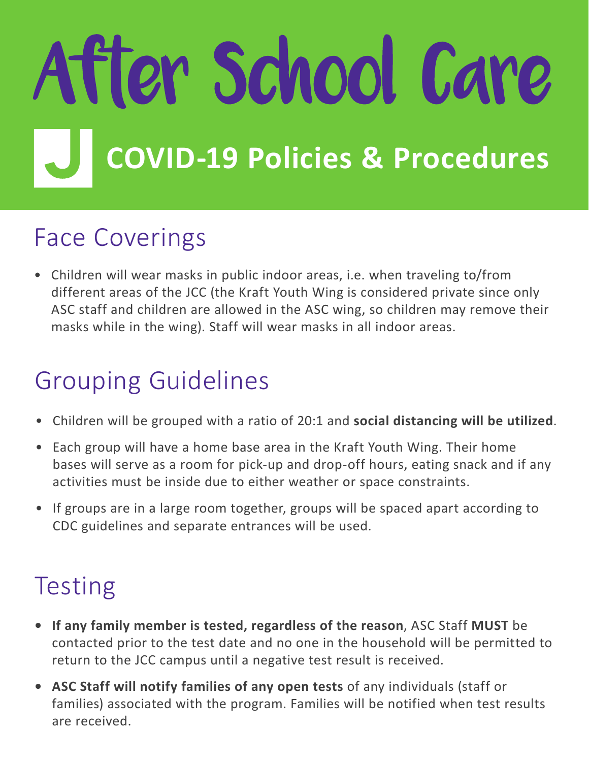# After School Care **COVID-19 Policies & Procedures**

#### Face Coverings

• Children will wear masks in public indoor areas, i.e. when traveling to/from different areas of the JCC (the Kraft Youth Wing is considered private since only ASC staff and children are allowed in the ASC wing, so children may remove their masks while in the wing). Staff will wear masks in all indoor areas.

### Grouping Guidelines

- Children will be grouped with a ratio of 20:1 and **social distancing will be utilized**.
- Each group will have a home base area in the Kraft Youth Wing. Their home bases will serve as a room for pick-up and drop-off hours, eating snack and if any activities must be inside due to either weather or space constraints.
- If groups are in a large room together, groups will be spaced apart according to CDC guidelines and separate entrances will be used.

### **Testing**

- **• If any family member is tested, regardless of the reason**, ASC Staff **MUST** be contacted prior to the test date and no one in the household will be permitted to return to the JCC campus until a negative test result is received.
- **• ASC Staff will notify families of any open tests** of any individuals (staff or families) associated with the program. Families will be notified when test results are received.